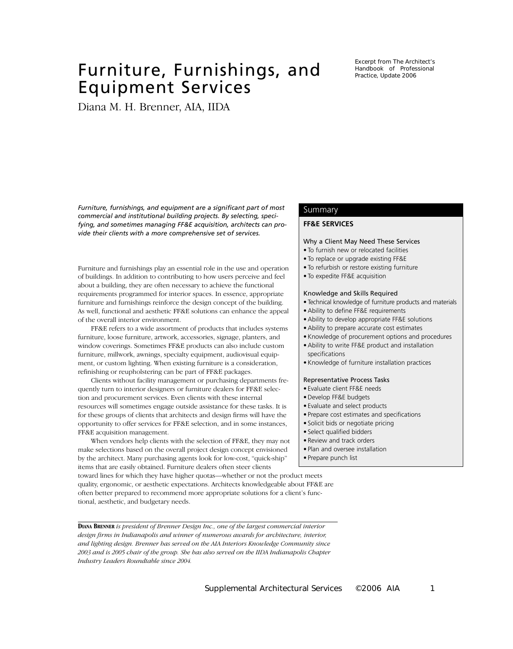# Furniture, Furnishings, and Equipment Services

Diana M. H. Brenner, AIA, IIDA

Excerpt from The Architect's Handbook of Professional Practice, Update 2006

*Furniture, furnishings, and equipment are a significant part of most commercial and institutional building projects. By selecting, specifying, and sometimes managing FF&E acquisition, architects can provide their clients with a more comprehensive set of services.*

Furniture and furnishings play an essential role in the use and operation of buildings. In addition to contributing to how users perceive and feel about a building, they are often necessary to achieve the functional requirements programmed for interior spaces. In essence, appropriate furniture and furnishings reinforce the design concept of the building. As well, functional and aesthetic FF&E solutions can enhance the appeal of the overall interior environment.

FF&E refers to a wide assortment of products that includes systems furniture, loose furniture, artwork, accessories, signage, planters, and window coverings. Sometimes FF&E products can also include custom furniture, millwork, awnings, specialty equipment, audiovisual equipment, or custom lighting. When existing furniture is a consideration, refinishing or reupholstering can be part of FF&E packages.

Clients without facility management or purchasing departments frequently turn to interior designers or furniture dealers for FF&E selection and procurement services. Even clients with these internal resources will sometimes engage outside assistance for these tasks. It is for these groups of clients that architects and design firms will have the opportunity to offer services for FF&E selection, and in some instances, FF&E acquisition management.

When vendors help clients with the selection of FF&E, they may not make selections based on the overall project design concept envisioned by the architect. Many purchasing agents look for low-cost, "quick-ship" items that are easily obtained. Furniture dealers often steer clients

toward lines for which they have higher quotas—whether or not the product meets quality, ergonomic, or aesthetic expectations. Architects knowledgeable about FF&E are often better prepared to recommend more appropriate solutions for a client's functional, aesthetic, and budgetary needs.

**DIANA BRENNER** *is president of Brenner Design Inc., one of the largest commercial interior design firms in Indianapolis and winner of numerous awards for architecture, interior, and lighting design. Brenner has served on the AIA Interiors Knowledge Community since 2003 and is 2005 chair of the group. She has also served on the IIDA Indianapolis Chapter Industry Leaders Roundtable since 2004.*

# Summary

## **FF&E SERVICES**

#### Why a Client May Need These Services

- To furnish new or relocated facilities
- To replace or upgrade existing FF&E
- To refurbish or restore existing furniture
- To expedite FF&E acquisition

#### Knowledge and Skills Required

- Technical knowledge of furniture products and materials
- Ability to define FF&E requirements
- Ability to develop appropriate FF&E solutions
- Ability to prepare accurate cost estimates
- Knowledge of procurement options and procedures
- Ability to write FF&E product and installation specifications
- Knowledge of furniture installation practices

#### Representative Process Tasks

- Evaluate client FF&E needs
- Develop FF&E budgets
- Evaluate and select products
- Prepare cost estimates and specifications
- Solicit bids or negotiate pricing
- Select qualified bidders
- Review and track orders
- Plan and oversee installation
- Prepare punch list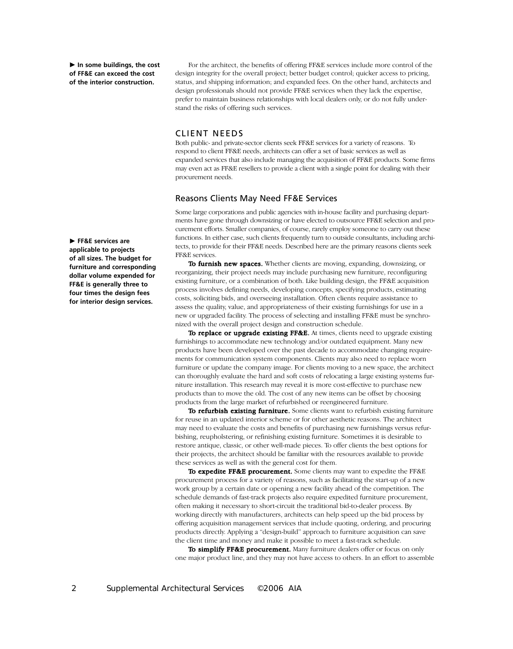**In some buildings, the cost of FF&E can exceed the cost of the interior construction.** 

For the architect, the benefits of offering FF&E services include more control of the design integrity for the overall project; better budget control; quicker access to pricing, status, and shipping information; and expanded fees. On the other hand, architects and design professionals should not provide FF&E services when they lack the expertise, prefer to maintain business relationships with local dealers only, or do not fully understand the risks of offering such services.

## CLIENT NEEDS

Both public- and private-sector clients seek FF&E services for a variety of reasons. To respond to client FF&E needs, architects can offer a set of basic services as well as expanded services that also include managing the acquisition of FF&E products. Some firms may even act as FF&E resellers to provide a client with a single point for dealing with their procurement needs.

## Reasons Clients May Need FF&E Services

Some large corporations and public agencies with in-house facility and purchasing departments have gone through downsizing or have elected to outsource FF&E selection and procurement efforts. Smaller companies, of course, rarely employ someone to carry out these functions. In either case, such clients frequently turn to outside consultants, including architects, to provide for their FF&E needs. Described here are the primary reasons clients seek FF&E services.

To furnish new spaces. Whether clients are moving, expanding, downsizing, or reorganizing, their project needs may include purchasing new furniture, reconfiguring existing furniture, or a combination of both. Like building design, the FF&E acquisition process involves defining needs, developing concepts, specifying products, estimating costs, soliciting bids, and overseeing installation. Often clients require assistance to assess the quality, value, and appropriateness of their existing furnishings for use in a new or upgraded facility. The process of selecting and installing FF&E must be synchronized with the overall project design and construction schedule.

To replace or upgrade existing FF&E. At times, clients need to upgrade existing furnishings to accommodate new technology and/or outdated equipment. Many new products have been developed over the past decade to accommodate changing requirements for communication system components. Clients may also need to replace worn furniture or update the company image. For clients moving to a new space, the architect can thoroughly evaluate the hard and soft costs of relocating a large existing systems furniture installation. This research may reveal it is more cost-effective to purchase new products than to move the old. The cost of any new items can be offset by choosing products from the large market of refurbished or reengineered furniture.

To refurbish existing furniture. Some clients want to refurbish existing furniture for reuse in an updated interior scheme or for other aesthetic reasons. The architect may need to evaluate the costs and benefits of purchasing new furnishings versus refurbishing, reupholstering, or refinishing existing furniture. Sometimes it is desirable to restore antique, classic, or other well-made pieces. To offer clients the best options for their projects, the architect should be familiar with the resources available to provide these services as well as with the general cost for them.

To expedite FF&E procurement. Some clients may want to expedite the FF&E procurement process for a variety of reasons, such as facilitating the start-up of a new work group by a certain date or opening a new facility ahead of the competition. The schedule demands of fast-track projects also require expedited furniture procurement, often making it necessary to short-circuit the traditional bid-to-dealer process. By working directly with manufacturers, architects can help speed up the bid process by offering acquisition management services that include quoting, ordering, and procuring products directly. Applying a "design-build" approach to furniture acquisition can save the client time and money and make it possible to meet a fast-track schedule.

To simplify FF&E procurement. Many furniture dealers offer or focus on only one major product line, and they may not have access to others. In an effort to assemble

**FF&E services are applicable to projects of all sizes. The budget for furniture and corresponding dollar volume expended for FF&E is generally three to four times the design fees for interior design services.**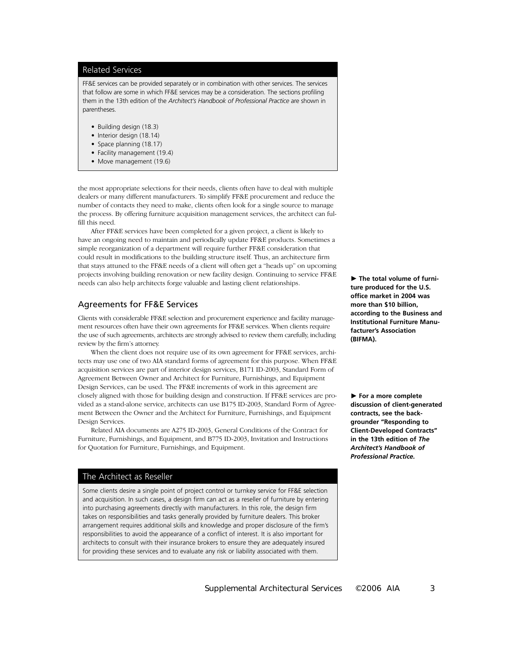## Related Services

FF&E services can be provided separately or in combination with other services. The services that follow are some in which FF&E services may be a consideration. The sections profiling them in the 13th edition of the *Architect's Handbook of Professional Practice* are shown in parentheses.

- Building design (18.3)
- Interior design (18.14)
- Space planning (18.17)
- Facility management (19.4)
- Move management (19.6)

the most appropriate selections for their needs, clients often have to deal with multiple dealers or many different manufacturers. To simplify FF&E procurement and reduce the number of contacts they need to make, clients often look for a single source to manage the process. By offering furniture acquisition management services, the architect can fulfill this need.

After FF&E services have been completed for a given project, a client is likely to have an ongoing need to maintain and periodically update FF&E products. Sometimes a simple reorganization of a department will require further FF&E consideration that could result in modifications to the building structure itself. Thus, an architecture firm that stays attuned to the FF&E needs of a client will often get a "heads up" on upcoming projects involving building renovation or new facility design. Continuing to service FF&E needs can also help architects forge valuable and lasting client relationships.

# Agreements for FF&E Services

Clients with considerable FF&E selection and procurement experience and facility management resources often have their own agreements for FF&E services. When clients require the use of such agreements, architects are strongly advised to review them carefully, including review by the firm's attorney.

When the client does not require use of its own agreement for FF&E services, architects may use one of two AIA standard forms of agreement for this purpose. When FF&E acquisition services are part of interior design services, B171 ID-2003, Standard Form of Agreement Between Owner and Architect for Furniture, Furnishings, and Equipment Design Services, can be used. The FF&E increments of work in this agreement are closely aligned with those for building design and construction. If FF&E services are provided as a stand-alone service, architects can use B175 ID-2003, Standard Form of Agreement Between the Owner and the Architect for Furniture, Furnishings, and Equipment Design Services.

Related AIA documents are A275 ID-2003, General Conditions of the Contract for Furniture, Furnishings, and Equipment, and B775 ID-2003, Invitation and Instructions for Quotation for Furniture, Furnishings, and Equipment.

# The Architect as Reseller

Some clients desire a single point of project control or turnkey service for FF&E selection and acquisition. In such cases, a design firm can act as a reseller of furniture by entering into purchasing agreements directly with manufacturers. In this role, the design firm takes on responsibilities and tasks generally provided by furniture dealers. This broker arrangement requires additional skills and knowledge and proper disclosure of the firm's responsibilities to avoid the appearance of a conflict of interest. It is also important for architects to consult with their insurance brokers to ensure they are adequately insured for providing these services and to evaluate any risk or liability associated with them.

**The total volume of furniture produced for the U.S. office market in 2004 was more than \$10 billion, according to the Business and Institutional Furniture Manufacturer's Association (BIFMA).** 

**For a more complete discussion of client-generated contracts, see the backgrounder "Responding to Client-Developed Contracts" in the 13th edition of** *The Architect's Handbook of Professional Practice.*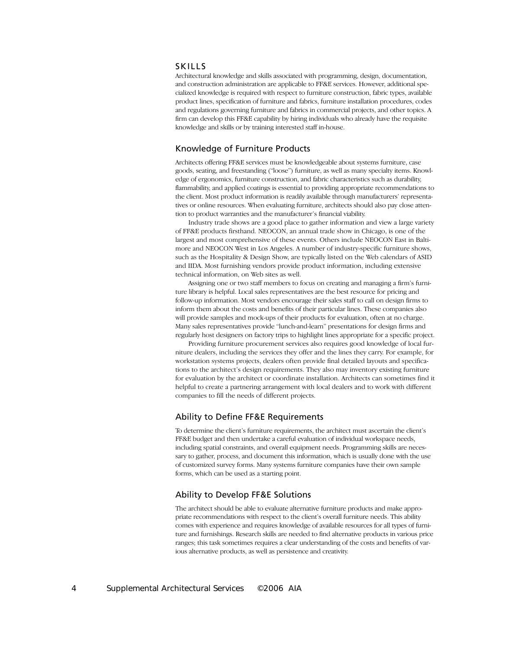## **SKILLS**

Architectural knowledge and skills associated with programming, design, documentation, and construction administration are applicable to FF&E services. However, additional specialized knowledge is required with respect to furniture construction, fabric types, available product lines, specification of furniture and fabrics, furniture installation procedures, codes and regulations governing furniture and fabrics in commercial projects, and other topics. A firm can develop this FF&E capability by hiring individuals who already have the requisite knowledge and skills or by training interested staff in-house.

# Knowledge of Furniture Products

Architects offering FF&E services must be knowledgeable about systems furniture, case goods, seating, and freestanding ("loose") furniture, as well as many specialty items. Knowledge of ergonomics, furniture construction, and fabric characteristics such as durability, flammability, and applied coatings is essential to providing appropriate recommendations to the client. Most product information is readily available through manufacturers' representatives or online resources. When evaluating furniture, architects should also pay close attention to product warranties and the manufacturer's financial viability.

Industry trade shows are a good place to gather information and view a large variety of FF&E products firsthand. NEOCON, an annual trade show in Chicago, is one of the largest and most comprehensive of these events. Others include NEOCON East in Baltimore and NEOCON West in Los Angeles. A number of industry-specific furniture shows, such as the Hospitality & Design Show, are typically listed on the Web calendars of ASID and IIDA. Most furnishing vendors provide product information, including extensive technical information, on Web sites as well.

Assigning one or two staff members to focus on creating and managing a firm's furniture library is helpful. Local sales representatives are the best resource for pricing and follow-up information. Most vendors encourage their sales staff to call on design firms to inform them about the costs and benefits of their particular lines. These companies also will provide samples and mock-ups of their products for evaluation, often at no charge. Many sales representatives provide "lunch-and-learn" presentations for design firms and regularly host designers on factory trips to highlight lines appropriate for a specific project.

Providing furniture procurement services also requires good knowledge of local furniture dealers, including the services they offer and the lines they carry. For example, for workstation systems projects, dealers often provide final detailed layouts and specifications to the architect's design requirements. They also may inventory existing furniture for evaluation by the architect or coordinate installation. Architects can sometimes find it helpful to create a partnering arrangement with local dealers and to work with different companies to fill the needs of different projects.

# Ability to Define FF&E Requirements

To determine the client's furniture requirements, the architect must ascertain the client's FF&E budget and then undertake a careful evaluation of individual workspace needs, including spatial constraints, and overall equipment needs. Programming skills are necessary to gather, process, and document this information, which is usually done with the use of customized survey forms. Many systems furniture companies have their own sample forms, which can be used as a starting point.

# Ability to Develop FF&E Solutions

The architect should be able to evaluate alternative furniture products and make appropriate recommendations with respect to the client's overall furniture needs. This ability comes with experience and requires knowledge of available resources for all types of furniture and furnishings. Research skills are needed to find alternative products in various price ranges; this task sometimes requires a clear understanding of the costs and benefits of various alternative products, as well as persistence and creativity.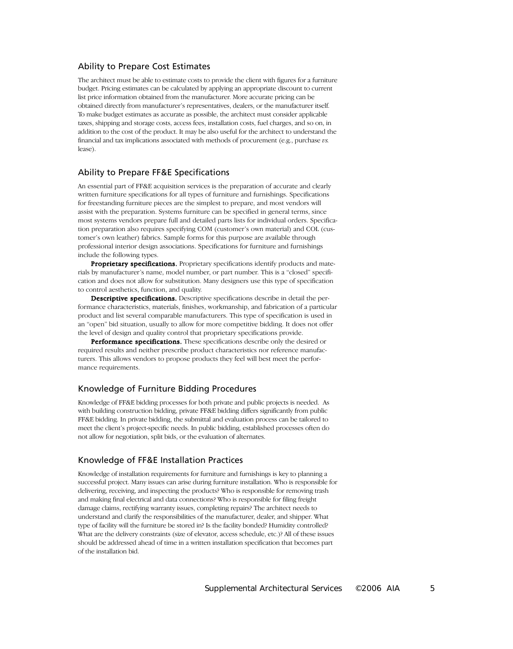# Ability to Prepare Cost Estimates

The architect must be able to estimate costs to provide the client with figures for a furniture budget. Pricing estimates can be calculated by applying an appropriate discount to current list price information obtained from the manufacturer. More accurate pricing can be obtained directly from manufacturer's representatives, dealers, or the manufacturer itself. To make budget estimates as accurate as possible, the architect must consider applicable taxes, shipping and storage costs, access fees, installation costs, fuel charges, and so on, in addition to the cost of the product. It may be also useful for the architect to understand the financial and tax implications associated with methods of procurement (e.g., purchase *vs.* lease).

## Ability to Prepare FF&E Specifications

An essential part of FF&E acquisition services is the preparation of accurate and clearly written furniture specifications for all types of furniture and furnishings. Specifications for freestanding furniture pieces are the simplest to prepare, and most vendors will assist with the preparation. Systems furniture can be specified in general terms, since most systems vendors prepare full and detailed parts lists for individual orders. Specification preparation also requires specifying COM (customer's own material) and COL (customer's own leather) fabrics. Sample forms for this purpose are available through professional interior design associations. Specifications for furniture and furnishings include the following types.

Proprietary specifications. Proprietary specifications identify products and materials by manufacturer's name, model number, or part number. This is a "closed" specification and does not allow for substitution. Many designers use this type of specification to control aesthetics, function, and quality.

Descriptive specifications. Descriptive specifications describe in detail the performance characteristics, materials, finishes, workmanship, and fabrication of a particular product and list several comparable manufacturers. This type of specification is used in an "open" bid situation, usually to allow for more competitive bidding. It does not offer the level of design and quality control that proprietary specifications provide.

**Performance specifications.** These specifications describe only the desired or required results and neither prescribe product characteristics nor reference manufacturers. This allows vendors to propose products they feel will best meet the performance requirements.

# Knowledge of Furniture Bidding Procedures

Knowledge of FF&E bidding processes for both private and public projects is needed. As with building construction bidding, private FF&E bidding differs significantly from public FF&E bidding. In private bidding, the submittal and evaluation process can be tailored to meet the client's project-specific needs. In public bidding, established processes often do not allow for negotiation, split bids, or the evaluation of alternates.

# Knowledge of FF&E Installation Practices

Knowledge of installation requirements for furniture and furnishings is key to planning a successful project. Many issues can arise during furniture installation. Who is responsible for delivering, receiving, and inspecting the products? Who is responsible for removing trash and making final electrical and data connections? Who is responsible for filing freight damage claims, rectifying warranty issues, completing repairs? The architect needs to understand and clarify the responsibilities of the manufacturer, dealer, and shipper. What type of facility will the furniture be stored in? Is the facility bonded? Humidity controlled? What are the delivery constraints (size of elevator, access schedule, etc.)? All of these issues should be addressed ahead of time in a written installation specification that becomes part of the installation bid.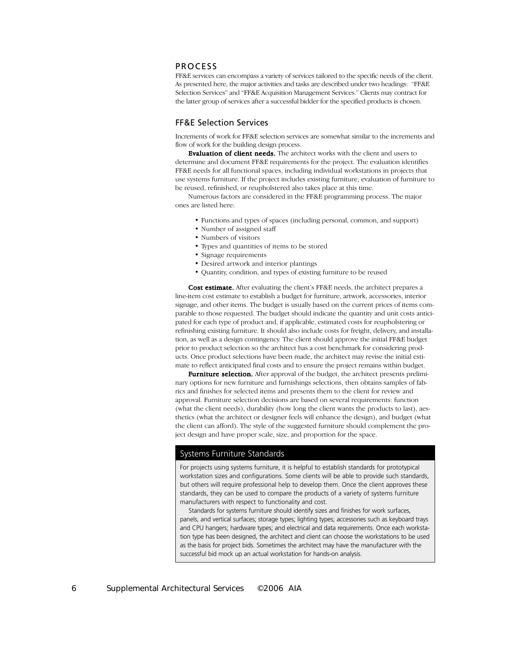#### PROCESS

FF&E services can encompass a variety of services tailored to the specific needs of the client. As presented here, the major activities and tasks are described under two headings: "FF&E Selection Services" and "FF&E Acquisition Management Services." Clients may contract for the latter group of services after a successful bidder for the specified products is chosen.

# FF&E Selection Services

Increments of work for FF&E selection services are somewhat similar to the increments and flow of work for the building design process.

Evaluation of client needs. The architect works with the client and users to determine and document FF&E requirements for the project. The evaluation identifies FF&E needs for all functional spaces, including individual workstations in projects that use systems furniture. If the project includes existing furniture, evaluation of furniture to be reused, refinished, or reupholstered also takes place at this time.

Numerous factors are considered in the FF&E programming process. The major ones are listed here:

- Functions and types of spaces (including personal, common, and support)
- Number of assigned staff
- Numbers of visitors
- Types and quantities of items to be stored
- Signage requirements
- Desired artwork and interior plantings
- Quantity, condition, and types of existing furniture to be reused

Cost estimate. After evaluating the client's FF&E needs, the architect prepares a line-item cost estimate to establish a budget for furniture, artwork, accessories, interior signage, and other items. The budget is usually based on the current prices of items comparable to those requested. The budget should indicate the quantity and unit costs anticipated for each type of product and, if applicable, estimated costs for reupholstering or refinishing existing furniture. It should also include costs for freight, delivery, and installation, as well as a design contingency. The client should approve the initial FF&E budget prior to product selection so the architect has a cost benchmark for considering products. Once product selections have been made, the architect may revise the initial estimate to reflect anticipated final costs and to ensure the project remains within budget.

**Furniture selection.** After approval of the budget, the architect presents preliminary options for new furniture and furnishings selections, then obtains samples of fabrics and finishes for selected items and presents them to the client for review and approval. Furniture selection decisions are based on several requirements: function (what the client needs), durability (how long the client wants the products to last), aesthetics (what the architect or designer feels will enhance the design), and budget (what the client can afford). The style of the suggested furniture should complement the project design and have proper scale, size, and proportion for the space.

## Systems Furniture Standards

For projects using systems furniture, it is helpful to establish standards for prototypical workstation sizes and configurations. Some clients will be able to provide such standards, but others will require professional help to develop them. Once the client approves these standards, they can be used to compare the products of a variety of systems furniture manufacturers with respect to functionality and cost.

Standards for systems furniture should identify sizes and finishes for work surfaces, panels, and vertical surfaces; storage types; lighting types; accessories such as keyboard trays and CPU hangers; hardware types; and electrical and data requirements. Once each workstation type has been designed, the architect and client can choose the workstations to be used as the basis for project bids. Sometimes the architect may have the manufacturer with the successful bid mock up an actual workstation for hands-on analysis.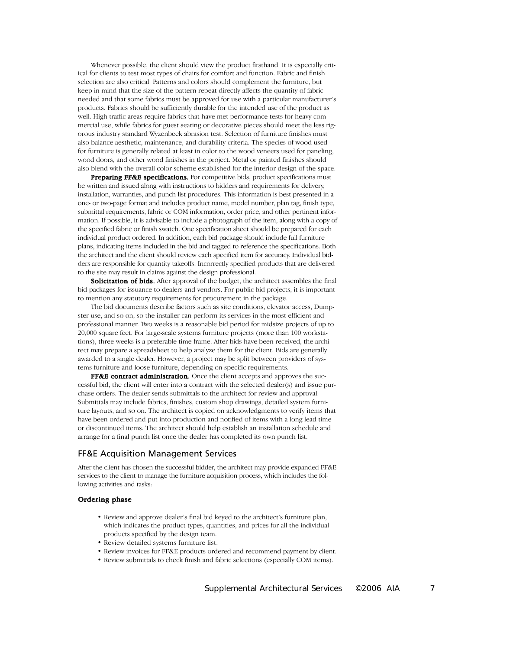Whenever possible, the client should view the product firsthand. It is especially critical for clients to test most types of chairs for comfort and function. Fabric and finish selection are also critical. Patterns and colors should complement the furniture, but keep in mind that the size of the pattern repeat directly affects the quantity of fabric needed and that some fabrics must be approved for use with a particular manufacturer's products. Fabrics should be sufficiently durable for the intended use of the product as well. High-traffic areas require fabrics that have met performance tests for heavy commercial use, while fabrics for guest seating or decorative pieces should meet the less rigorous industry standard Wyzenbeek abrasion test. Selection of furniture finishes must also balance aesthetic, maintenance, and durability criteria. The species of wood used for furniture is generally related at least in color to the wood veneers used for paneling, wood doors, and other wood finishes in the project. Metal or painted finishes should also blend with the overall color scheme established for the interior design of the space.

Preparing FF&E specifications. For competitive bids, product specifications must be written and issued along with instructions to bidders and requirements for delivery, installation, warranties, and punch list procedures. This information is best presented in a one- or two-page format and includes product name, model number, plan tag, finish type, submittal requirements, fabric or COM information, order price, and other pertinent information. If possible, it is advisable to include a photograph of the item, along with a copy of the specified fabric or finish swatch. One specification sheet should be prepared for each individual product ordered. In addition, each bid package should include full furniture plans, indicating items included in the bid and tagged to reference the specifications. Both the architect and the client should review each specified item for accuracy. Individual bidders are responsible for quantity takeoffs. Incorrectly specified products that are delivered to the site may result in claims against the design professional.

Solicitation of bids. After approval of the budget, the architect assembles the final bid packages for issuance to dealers and vendors. For public bid projects, it is important to mention any statutory requirements for procurement in the package.

The bid documents describe factors such as site conditions, elevator access, Dumpster use, and so on, so the installer can perform its services in the most efficient and professional manner. Two weeks is a reasonable bid period for midsize projects of up to 20,000 square feet. For large-scale systems furniture projects (more than 100 workstations), three weeks is a preferable time frame. After bids have been received, the architect may prepare a spreadsheet to help analyze them for the client. Bids are generally awarded to a single dealer. However, a project may be split between providers of systems furniture and loose furniture, depending on specific requirements.

FF&E contract administration. Once the client accepts and approves the successful bid, the client will enter into a contract with the selected dealer(s) and issue purchase orders. The dealer sends submittals to the architect for review and approval. Submittals may include fabrics, finishes, custom shop drawings, detailed system furniture layouts, and so on. The architect is copied on acknowledgments to verify items that have been ordered and put into production and notified of items with a long lead time or discontinued items. The architect should help establish an installation schedule and arrange for a final punch list once the dealer has completed its own punch list.

#### FF&E Acquisition Management Services

After the client has chosen the successful bidder, the architect may provide expanded FF&E services to the client to manage the furniture acquisition process, which includes the following activities and tasks:

#### Ordering phase

- Review and approve dealer's final bid keyed to the architect's furniture plan, which indicates the product types, quantities, and prices for all the individual products specified by the design team.
- Review detailed systems furniture list.
- Review invoices for FF&E products ordered and recommend payment by client.
- Review submittals to check finish and fabric selections (especially COM items).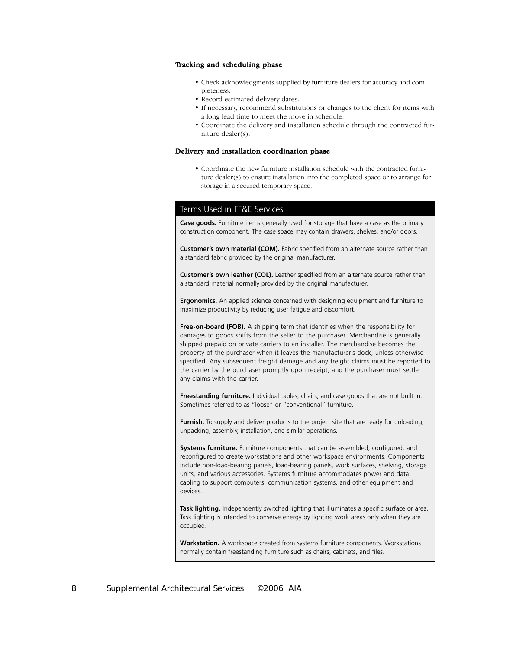#### Tracking and scheduling phase

- Check acknowledgments supplied by furniture dealers for accuracy and completeness.
- Record estimated delivery dates.
- If necessary, recommend substitutions or changes to the client for items with a long lead time to meet the move-in schedule.
- Coordinate the delivery and installation schedule through the contracted furniture dealer(s).

#### Delivery and installation coordination phase

• Coordinate the new furniture installation schedule with the contracted furniture dealer(s) to ensure installation into the completed space or to arrange for storage in a secured temporary space.

## Terms Used in FF&E Services

**Case goods.** Furniture items generally used for storage that have a case as the primary construction component. The case space may contain drawers, shelves, and/or doors.

**Customer's own material (COM).** Fabric specified from an alternate source rather than a standard fabric provided by the original manufacturer.

**Customer's own leather (COL).** Leather specified from an alternate source rather than a standard material normally provided by the original manufacturer.

**Ergonomics.** An applied science concerned with designing equipment and furniture to maximize productivity by reducing user fatigue and discomfort.

**Free-on-board (FOB).** A shipping term that identifies when the responsibility for damages to goods shifts from the seller to the purchaser. Merchandise is generally shipped prepaid on private carriers to an installer. The merchandise becomes the property of the purchaser when it leaves the manufacturer's dock, unless otherwise specified. Any subsequent freight damage and any freight claims must be reported to the carrier by the purchaser promptly upon receipt, and the purchaser must settle any claims with the carrier.

**Freestanding furniture.** Individual tables, chairs, and case goods that are not built in. Sometimes referred to as "loose" or "conventional" furniture.

Furnish. To supply and deliver products to the project site that are ready for unloading, unpacking, assembly, installation, and similar operations.

**Systems furniture.** Furniture components that can be assembled, configured, and reconfigured to create workstations and other workspace environments. Components include non-load-bearing panels, load-bearing panels, work surfaces, shelving, storage units, and various accessories. Systems furniture accommodates power and data cabling to support computers, communication systems, and other equipment and devices.

**Task lighting.** Independently switched lighting that illuminates a specific surface or area. Task lighting is intended to conserve energy by lighting work areas only when they are occupied.

**Workstation.** A workspace created from systems furniture components. Workstations normally contain freestanding furniture such as chairs, cabinets, and files.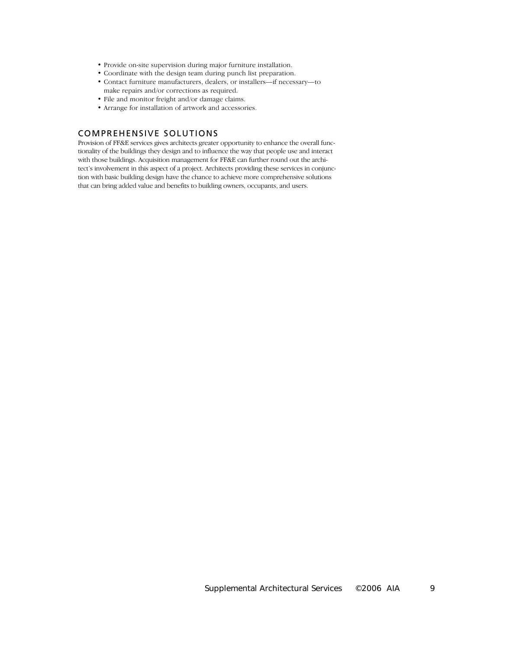- Provide on-site supervision during major furniture installation.
- Coordinate with the design team during punch list preparation.
- Contact furniture manufacturers, dealers, or installers—if necessary—to make repairs and/or corrections as required.
- File and monitor freight and/or damage claims.
- Arrange for installation of artwork and accessories.

# COMPREHENSIVE SOLUTIONS

Provision of FF&E services gives architects greater opportunity to enhance the overall functionality of the buildings they design and to influence the way that people use and interact with those buildings. Acquisition management for FF&E can further round out the architect's involvement in this aspect of a project. Architects providing these services in conjunction with basic building design have the chance to achieve more comprehensive solutions that can bring added value and benefits to building owners, occupants, and users.